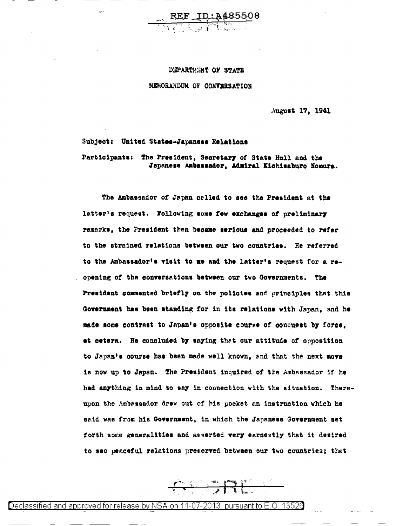# REF ID: A485508

### DEPARTMENT OF STATE

#### MEMORANDUM OF CONVERSATION

August 17, 1941

## Subject: United States-Japanese Relations

Participants: The President, Secretary of State Hull and the Japanese Ambassador, Admiral Kichisaburo Nomura.

The Ambassador of Japan called to see the President at the latter's request. Following some few exchanges of preliminary remarks. the President then became serious and proceeded to refer to the strained relations between our two countries. He referred to the Ambassador's visit to me and the latter's request for a reopening of the conversations between our two Governments. The President commented briefly on the policies and principles that this Government has been standing for in its relations with Japan, and he made some contrast to Japan's opposite course of conquest by force. et cetera. He concluded by saying that our attitude of opposition to Japan's course has been made well known, and that the next move is now up to Japan. The President inquired of the Ambassador if he had anything in mind to say in connection with the situation. Thereupon the Ambassador drew out of his pocket an instruction which he said was from his Government, in which the Japaness Government set forth some generalities and asserted very earnestly that it desired to see peaceful relations preserved between our two countries; that

**COUNTY COMPANY** 

Declassified and approved for release by NSA on 11-07-2013 pursuant to E.O. 13526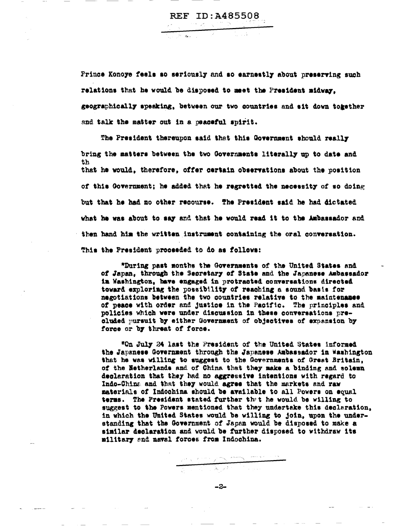REF ID: A485508 

Prince Konoye feels so seriously and so earnestly about preserving such relations that he would be disposed to meet the President midway. geographically speaking, between our two countries and sit down together and talk the matter out in a peaceful spirit.

The President thereupon said that this Government should really bring the matters between the two Governments literally up to date and t.h that he would, therefore, offer certain observations about the position of this Government; he added that he regretted the necessity of so doing but that he had no other recourse. The President said he had dictated what he was about to say and that he would read it to the Ambassador and then hand him the written instrument containing the oral conversation. This the President proceeded to do as follows:

"During past months the Governments of the United States and of Japan, through the Secretary of State and the Japanese Ambassador in Washington, have engaged in protracted conversations directed toward exploring the possibility of reaching a sound basis for negotiations between the two countries relative to the maintenance of peace with order and justice in the Pacific. The principles and policies which were under discussion in these conversations precluded pursuit by either Government of objectives of expansion by force or by threat of force.

"On July 24 last the President of the United States informed the Japanese Government through the Japanese Ambassador in Washington that he was willing to suggest to the Governments of Great Britain, of the Netherlands and of China that they make a binding and solemn declaration that they had no aggressive intentions with regard to Indo-China and that they would agree that the markets and raw materials of Indochina should be available to all Powers on equal terms. The President stated further that he would be willing to suggest to the Powers mentioned that they undertake this declaration, in which the United States would be willing to join, upon the understanding that the Government of Japan would be disposed to make a similar declaration and would be further disposed to withdraw its military and naval forces from Indochina.

<u>TAN AT AN CONTRACTOR</u>

 $-2-$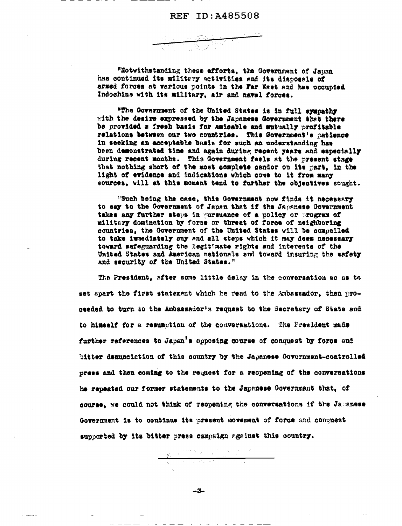## **REF ID: A485508**

"Notwithstanding these efforts, the Government of Japan has continued its military activities and its disposals of armed forces at various points in the Far Esst and has occupied Indochina with its military, air and naval forces.

"The Government of the United States is in full sympathy with the desire expressed by the Japanese Government that there be provided a fresh basis for amicable and mutually profitable relations between our two countries. This Government's patience in seeking an acceptable basis for such an understanding has been demonstrated time and again during regent years and especially during recent months. This Government feels at the present stage that nothing short of the most complete candor on its part, in the light of evidence and indications which come to it from many sources, will at this moment tend to further the objectives sought.

"Such being the case, this Government now finds it necessary to say to the Government of Japan that if the Japanese Government takes any further steps in pursuance of a policy or program of military domination by force or threat of force of neighboring countries, the Government of the United States will be compelled to take immediately any and all steps which it may deem necessary toward safeguarding the legitimate rights and interests of the United States and American nationals and toward insuring the safety and security of the United States."

The President, after some little delay in the conversation so as to set apart the first statement which he read to the Ambassador, then proceeded to turn to the Ambassador's request to the Secretary of State and to himself for a resumption of the conversations. The President made further references to Japan's opposing course of conquest by force and bitter denunciation of this country by the Japanese Government-controlled press and then coming to the request for a reopening of the conversations he repeated our former statements to the Japanese Government that, of course, we could not think of reopening the conversations if the Jamese Government is to continue its present movement of force and conquest supported by its bitter press campaign against this country.

 $\frac{16.2}{\sqrt{2}}\left[\frac{16.2}{\sqrt{2}}\right] = \frac{16.2}{\sqrt{2}}\left[\frac{16.2}{\sqrt{2}}\right] = \frac{16.2}{\sqrt{2}} = \frac{16.2}{\sqrt{2}} = \frac{16.2}{\sqrt{2}} = \frac{16.2}{\sqrt{2}} = \frac{16.2}{\sqrt{2}} = \frac{16.2}{\sqrt{2}} = \frac{16.2}{\sqrt{2}} = \frac{16.2}{\sqrt{2}} = \frac{16.2}{\sqrt{2}} = \frac{16.2}{\sqrt{2}} = \frac{16.2}{\sqrt{2}} = \frac$ 

 $-3-$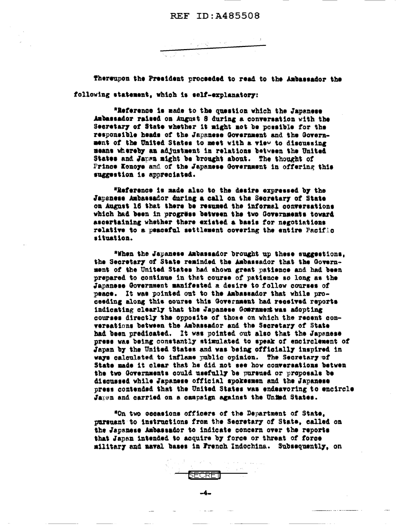Thereupon the President proceeded to read to the Ambassador the following statement, which is self-explanatory:

"Reference is made to the question which the Japanese Ambassador raised on August 8 during a conversation with the Secretary of State whether it might not be possible for the responsible heads of the Japanese Government and the Government of the United States to meet with a view to discussing means whereby an adjustment in relations between the United States and Japan might be brought about. The thought of Prince Konoye and of the Japanese Government in offering this suggestion is appreciated.

\*Reference is made also to the desire expressed by the Jauanese Ambaesador during a call on the Secretary of State on August 16 that there be resumed the informal conversations which had been in progress between the two Governments toward ascertaining whether there existed a basis for negotiations relative to a peaceful settlement covering the entire Pacific situation.

"When the Japanese Ambassador brought up these suggestions. the Secretary of State reminded the Ambassador that the Government of the United States had shown great patience and had been prepared to continue in that course of patience so long as the Japanese Government manifested a desire to follow courses of peace. It was pointed out to the Ambassador that while proceeding along this course this Government had received reports indicating clearly that the Japanese Gomrament was adopting courses directly the opposite of those on which the recent conversations between the Ambassador and the Secretary of State had been predicated. It was pointed out also that the Japanese press was being constantly stimulated to speak of encirclement of Japan by the United States and was being officially inspired in ways calculated to inflame public opinion. The Secretary of State made it clear that he did not see how conversations betwen the two Governments could usefully be pursued or proposals be discussed while Japanese official spokesmen and the Japanese press contended that the United States was endeavoring to encircle Jamen and carried on a campaign against the Unimed States.

"On two cocasions officers of the Department of State, pursuant to instructions from the Secretary of State, called on the Japanese Ambassador to indicate concern over the reports that Japan intended to acquire by force or threat of force military and naval bases in French Indochina. Subsequently, on

ः<br>√<del>ा</del> <u>SECRET</u>

-4-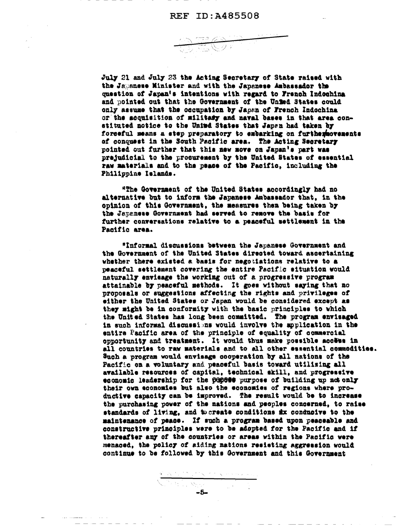$\begin{picture}(120,140) \put(0,0){\line(1,0){150}} \put(15,0){\line(1,0){150}} \put(15,0){\line(1,0){150}} \put(15,0){\line(1,0){150}} \put(15,0){\line(1,0){150}} \put(15,0){\line(1,0){150}} \put(15,0){\line(1,0){150}} \put(15,0){\line(1,0){150}} \put(15,0){\line(1,0){150}} \put(15,0){\line(1,0){150}} \put(15,0){\line(1,0){150$ 

July 21 and July 23 the Acting Secretary of State raised with the Japanese Minister and with the Japanese Ambassador the question of Japan's intentions with regard to French Indochina and pointed out that the Government of the Unimed States could only assume that the occupation by Japan of French Indochina or the acquisition of military and naval bases in that area constituted notice to the Unimd States that Japan had taken by forceful means a step preparatory to embarking on furthereovenents of conquest in the South Pacific area. The Acting Secretary pointed out further that this new move on Japan's part was prejudicial to the procurement by the United States of essential raw materials and to the peace of the Pacific, including the Philippine Islands.

"The Government of the United States accordingly had no alternative but to inform the Japanese Ambassador that, in the opinion of this Government, the measures then being taken by the Japanese Government had served to remove the basis for further conversations relative to a peaceful settlement in the Pacific area.

"Informal discussions between the Japanese Government and the Government of the United States directed toward ascertaining whether there existed a basis for negotiations relative to a peaceful settlement covering the entire Pacific situation would naturally envisage the working out of a progressive program attainable by peaceful methods. It goes without saying that no proposals or suggestions affecting the rights and privileges of either the United States or Japan would be considered except as they might be in conformity with the basic principles to which the United States has long been committed. The program envisaged in such informal discussions would involve the application in the entire Pacific area of the principle of equality of commercial opportunity and treatment. It would thus make possible access in all countries to raw materials and to all other essential commodities. Such a program would envisage cooperation by all nations of the Pacific on a voluntary and peaceful basis toward utilizing all available resources of capital, technical skill, and progressive economic leadership for the 600000 purpose of building up not only their own economies but also the economies of regions where productive capacity can be improved. The result would be to increase the purchasing power of the nations and peoples concerned, to raise standards of living, and to create conditions six conducive to the maintenance of peace. If such a program based upon peaceable and constructive principles were to be adopted for the Pacific and if thereafter any of the countries or areas within the Pacific were menaced, the policy of aiding nations resisting aggression would continue to be followed by this Government and this Government